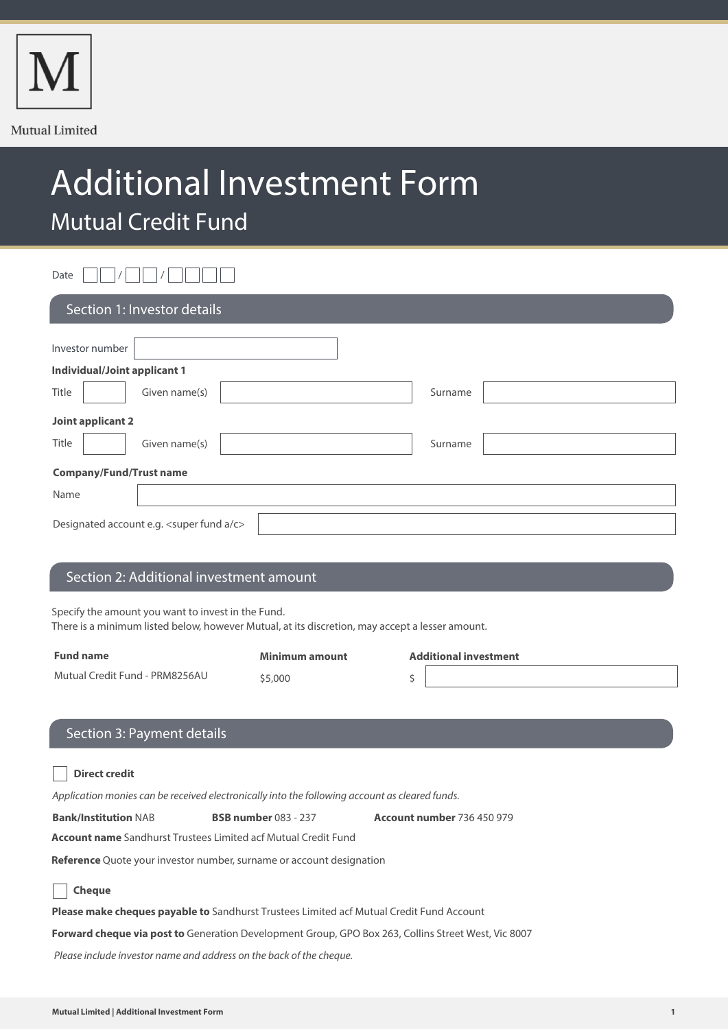

# Additional Investment Form Mutual Credit Fund

Date  $\Box \Box / \Box \Box / \Box \Box$ 

| Section 1: Investor details               |                          |  |  |
|-------------------------------------------|--------------------------|--|--|
| Investor number                           |                          |  |  |
| <b>Individual/Joint applicant 1</b>       |                          |  |  |
| Title                                     | Given name(s)<br>Surname |  |  |
| Joint applicant 2                         |                          |  |  |
| Title                                     | Given name(s)<br>Surname |  |  |
| <b>Company/Fund/Trust name</b>            |                          |  |  |
| Name                                      |                          |  |  |
| Designated account e.g. < super fund a/c> |                          |  |  |

## Section 2: Additional investment amount

Specify the amount you want to invest in the Fund.

There is a minimum listed below, however Mutual, at its discretion, may accept a lesser amount.

| <b>Fund name</b>               | Minimum amount | <b>Additional investment</b> |
|--------------------------------|----------------|------------------------------|
| Mutual Credit Fund - PRM8256AU | \$5,000        |                              |
|                                |                |                              |

# Section 3: Payment details

| <u>JECHUIT J. FAYIHEIIL UELAID</u>                                                                         |                             |                                   |  |  |
|------------------------------------------------------------------------------------------------------------|-----------------------------|-----------------------------------|--|--|
|                                                                                                            |                             |                                   |  |  |
| <b>Direct credit</b>                                                                                       |                             |                                   |  |  |
| Application monies can be received electronically into the following account as cleared funds.             |                             |                                   |  |  |
| <b>Bank/Institution NAB</b>                                                                                | <b>BSB number</b> 083 - 237 | <b>Account number 736 450 979</b> |  |  |
| <b>Account name</b> Sandhurst Trustees Limited acf Mutual Credit Fund                                      |                             |                                   |  |  |
| <b>Reference</b> Quote your investor number, surname or account designation                                |                             |                                   |  |  |
| <b>Cheque</b>                                                                                              |                             |                                   |  |  |
| <b>Please make cheques payable to</b> Sandhurst Trustees Limited acf Mutual Credit Fund Account            |                             |                                   |  |  |
| <b>Forward cheque via post to</b> Generation Development Group, GPO Box 263, Collins Street West, Vic 8007 |                             |                                   |  |  |
| Please include investor name and address on the back of the cheque.                                        |                             |                                   |  |  |